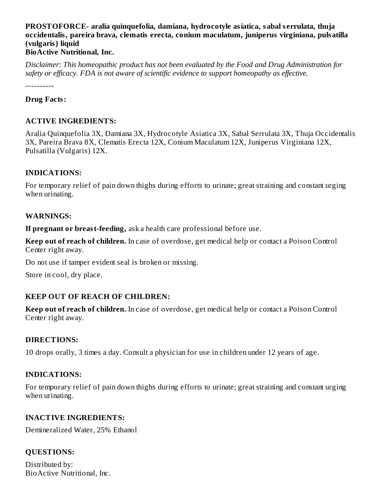# **PROSTOFORCE- aralia quinquefolia, damiana, hydrocotyle asiatica, sabal s errulata, thuja occidentalis, pareira brava, clematis erecta, conium maculatum, juniperus virginiana, pulsatilla (vulgaris) liquid**

### **BioActive Nutritional, Inc.**

*Disclaimer: This homeopathic product has not been evaluated by the Food and Drug Administration for safety or efficacy. FDA is not aware of scientific evidence to support homeopathy as effective.*

----------

### **Drug Facts:**

### **ACTIVE INGREDIENTS:**

Aralia Quinquefolia 3X, Damiana 3X, Hydrocotyle Asiatica 3X, Sabal Serrulata 3X, Thuja Occidentalis 3X, Pareira Brava 8X, Clematis Erecta 12X, Conium Maculatum 12X, Juniperus Virginiana 12X, Pulsatilla (Vulgaris) 12X.

### **INDICATIONS:**

For temporary relief of pain down thighs during efforts to urinate; great straining and constant urging when urinating.

### **WARNINGS:**

**If pregnant or breast-feeding,** ask a health care professional before use.

**Keep out of reach of children.** In case of overdose, get medical help or contact a Poison Control Center right away.

Do not use if tamper evident seal is broken or missing.

Store in cool, dry place.

# **KEEP OUT OF REACH OF CHILDREN:**

**Keep out of reach of children.** In case of overdose, get medical help or contact a Poison Control Center right away.

### **DIRECTIONS:**

10 drops orally, 3 times a day. Consult a physician for use in children under 12 years of age.

### **INDICATIONS:**

For temporary relief of pain down thighs during efforts to urinate; great straining and constant urging when urinating.

### **INACTIVE INGREDIENTS:**

Demineralized Water, 25% Ethanol

# **QUESTIONS:**

Distributed by: BioActive Nutritional, Inc.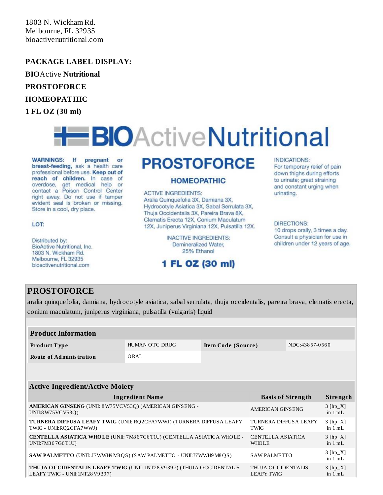1803 N. Wickham Rd. Melbourne, FL 32935 bioactivenutritional.com

**PACKAGE LABEL DISPLAY:**

**BIO**Active **Nutritional**

**PROSTOFORCE**

**HOMEOPATHIC**

**1 FL OZ (30 ml)**

# **H**BIOActiveNutritional

**WARNINGS:** If pregnant or breast-feeding, ask a health care professional before use. Keep out of reach of children. In case of overdose, get medical help or contact a Poison Control Center right away. Do not use if tamper evident seal is broken or missing. Store in a cool, dry place.

### LOT:

Distributed by: BioActive Nutritional, Inc. 1803 N. Wickham Rd. Melbourne, FL 32935 bioactivenutritional.com

# **PROSTOFORCE**

### **HOMEOPATHIC**

**ACTIVE INGREDIENTS:** Aralia Quinquefolia 3X, Damiana 3X, Hydrocotyle Asiatica 3X, Sabal Serrulata 3X, Thuja Occidentalis 3X, Pareira Brava 8X, Clematis Erecta 12X, Conium Maculatum 12X, Juniperus Virginiana 12X, Pulsatilla 12X.

> **INACTIVE INGREDIENTS:** Demineralized Water. 25% Ethanol

# 1 FL OZ (30 ml)

#### **INDICATIONS:**

For temporary relief of pain down thighs during efforts to urinate; great straining and constant urging when urinating.

**DIRECTIONS:** 

10 drops orally, 3 times a day. Consult a physician for use in children under 12 years of age.

# **PROSTOFORCE**

aralia quinquefolia, damiana, hydrocotyle asiatica, sabal serrulata, thuja occidentalis, pareira brava, clematis erecta, conium maculatum, juniperus virginiana, pulsatilla (vulgaris) liquid

| <b>Product Information</b>     |                |                    |                |  |
|--------------------------------|----------------|--------------------|----------------|--|
| <b>Product Type</b>            | HUMAN OTC DRUG | Item Code (Source) | NDC:43857-0560 |  |
| <b>Route of Administration</b> | ORAL           |                    |                |  |

### **Active Ingredient/Active Moiety**

| <b>Ingredient Name</b>                                                         | <b>Basis of Strength</b>     | Strength                        |
|--------------------------------------------------------------------------------|------------------------------|---------------------------------|
| AMERICAN GINSENG (UNII: 8W75VCV53Q) (AMERICAN GINSENG -<br>UNII:8 W75 VC V530) | <b>AMERICAN GINSENG</b>      | $3 [hp_X]$<br>in $1 mL$         |
| TURNERA DIFFUSA LEAFY TWIG (UNII: RQ2CFA7WWJ) (TURNERA DIFFUSA LEAFY           | <b>TURNERA DIFFUSA LEAFY</b> | $3 [hp_X]$                      |
| TWIG - UNII:RQ2CFA7WWJ)                                                        | <b>TWIG</b>                  | in $1 mL$                       |
| CENTELLA ASIATICA WHOLE (UNII: 7M867G6T1U) (CENTELLA ASIATICA WHOLE -          | CENTELLA ASIATICA            | $3$ [hp_X]                      |
| UNII:7M867G6T1U)                                                               | <b>WHOLE</b>                 | in $1 mL$                       |
| <b>SAW PALMETTO</b> (UNII: J7WWH9M8QS) (SAW PALMETTO - UNII: J7WWH9M8QS)       | <b>SAW PALMETTO</b>          | $3 [hp_X]$<br>in $1 \text{ mL}$ |
| THUJA OCCIDENTALIS LEAFY TWIG (UNII: 1NT28V9397) (THUJA OCCIDENTALIS           | THUJA OCCIDENTALIS           | $3$ [hp_X]                      |
| LEAFY TWIG - UNII:1NT28 V9397)                                                 | <b>LEAFY TWIG</b>            | in $1 mL$                       |